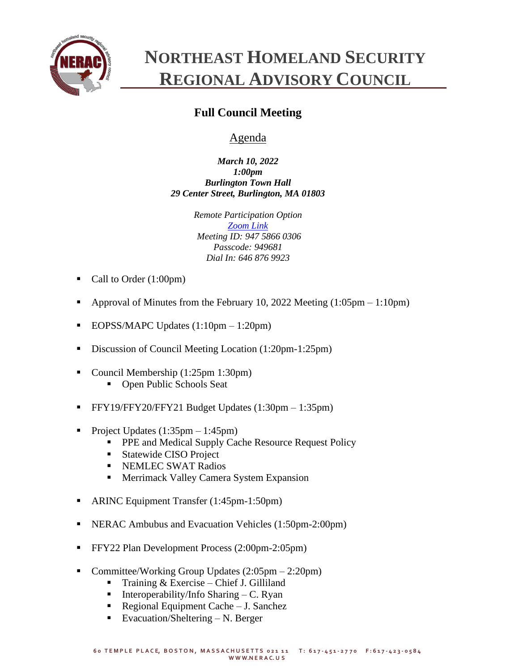

## **NORTHEAST HOMELAND SECURITY REGIONAL ADVISORY COUNCIL**

## **Full Council Meeting**

## Agenda

*March 10, 2022 1:00pm Burlington Town Hall 29 Center Street, Burlington, MA 01803*

> *Remote Participation Option [Zoom Link](https://zoom.us/j/94758660306?pwd=SzNhc1dNd0ZYNGg4c0pmalJ1bXVMdz09) Meeting ID: 947 5866 0306 Passcode: 949681 Dial In: 646 876 9923*

- Call to Order (1:00pm)
- Approval of Minutes from the February 10, 2022 Meeting  $(1:05pm 1:10pm)$
- EOPSS/MAPC Updates (1:10pm 1:20pm)
- Discussion of Council Meeting Location (1:20pm-1:25pm)
- Council Membership (1:25pm 1:30pm)
	- Open Public Schools Seat
- FFY19/FFY20/FFY21 Budget Updates (1:30pm 1:35pm)
- Project Updates  $(1:35 \text{pm} 1:45 \text{pm})$ 
	- **PPE and Medical Supply Cache Resource Request Policy**
	- Statewide CISO Project
	- **EXEMPLEC SWAT Radios**
	- **EXECUTE:** Merrimack Valley Camera System Expansion
- ARINC Equipment Transfer (1:45pm-1:50pm)
- NERAC Ambubus and Evacuation Vehicles (1:50pm-2:00pm)
- **•** FFY22 Plan Development Process (2:00pm-2:05pm)
- Committee/Working Group Updates  $(2:05pm 2:20pm)$ 
	- Training  $&$  Exercise Chief J. Gilliland
	- **•** Interoperability/Info Sharing  $-C$ . Ryan
	- Regional Equipment Cache J. Sanchez
	- **•** Evacuation/Sheltering  $N$ . Berger